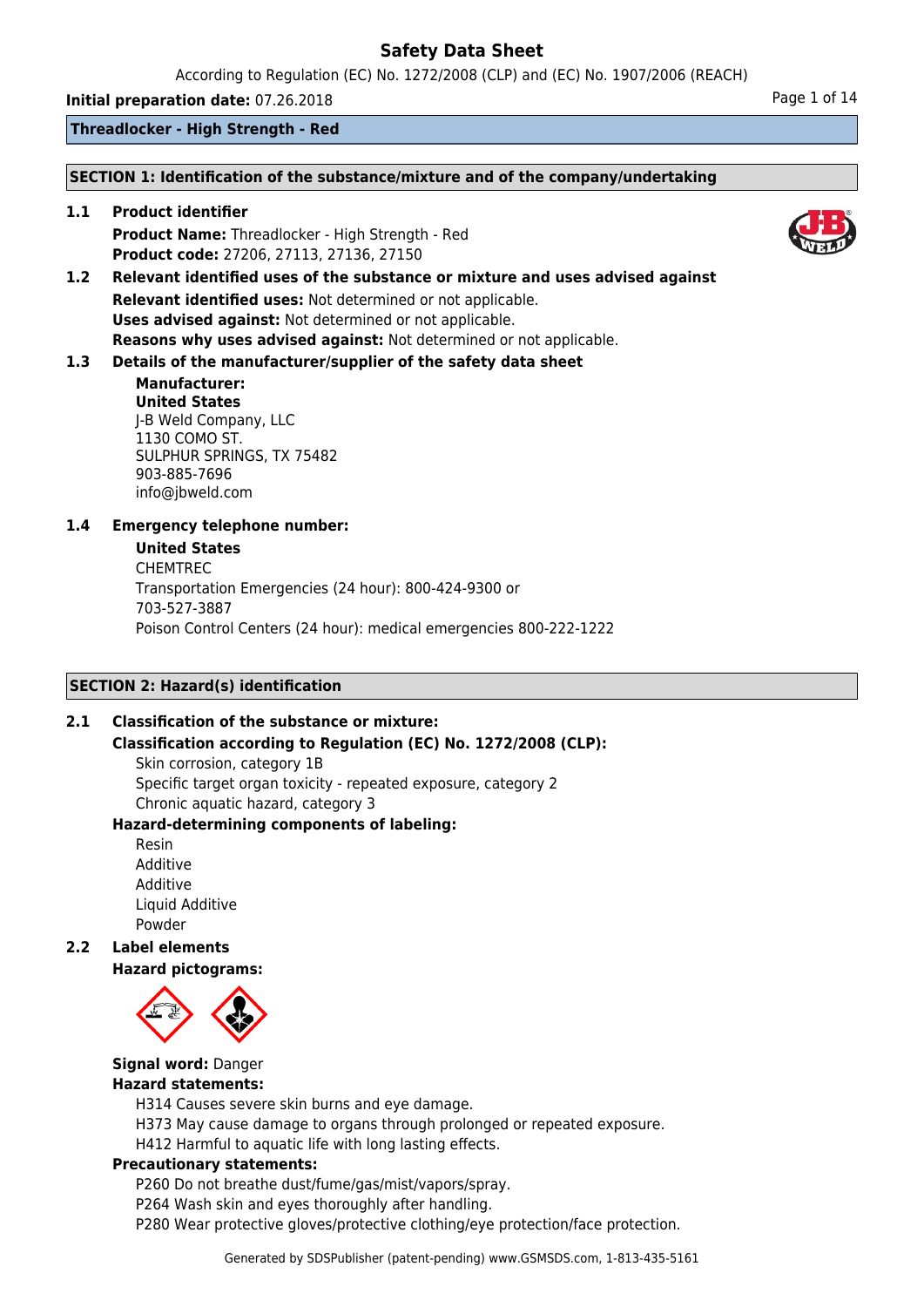According to Regulation (EC) No. 1272/2008 (CLP) and (EC) No. 1907/2006 (REACH)

**Initial preparation date:** 07.26.2018 **Page 1 of 14** 

**Threadlocker - High Strength - Red**

### **SECTION 1: Identification of the substance/mixture and of the company/undertaking**

**1.1 Product identifier Product Name:** Threadlocker - High Strength - Red **Product code:** 27206, 27113, 27136, 27150

**1.2 Relevant identified uses of the substance or mixture and uses advised against Relevant identified uses:** Not determined or not applicable. **Uses advised against:** Not determined or not applicable. **Reasons why uses advised against:** Not determined or not applicable.

# **1.3 Details of the manufacturer/supplier of the safety data sheet**

### **Manufacturer: United States** J-B Weld Company, LLC 1130 COMO ST. SULPHUR SPRINGS, TX 75482 903-885-7696 info@jbweld.com

# **1.4 Emergency telephone number:**

### **United States**

CHEMTREC Transportation Emergencies (24 hour): 800-424-9300 or 703-527-3887 Poison Control Centers (24 hour): medical emergencies 800-222-1222

# **SECTION 2: Hazard(s) identification**

# **2.1 Classification of the substance or mixture:**

# **Classification according to Regulation (EC) No. 1272/2008 (CLP):**

Skin corrosion, category 1B Specific target organ toxicity - repeated exposure, category 2 Chronic aquatic hazard, category 3

# **Hazard-determining components of labeling:**

Resin Additive Additive Liquid Additive Powder

```
2.2 Label elements
Hazard pictograms:
```


# **Signal word:** Danger

# **Hazard statements:**

H314 Causes severe skin burns and eye damage.

- H373 May cause damage to organs through prolonged or repeated exposure.
- H412 Harmful to aquatic life with long lasting effects.

# **Precautionary statements:**

P260 Do not breathe dust/fume/gas/mist/vapors/spray.

- P264 Wash skin and eyes thoroughly after handling.
- P280 Wear protective gloves/protective clothing/eye protection/face protection.

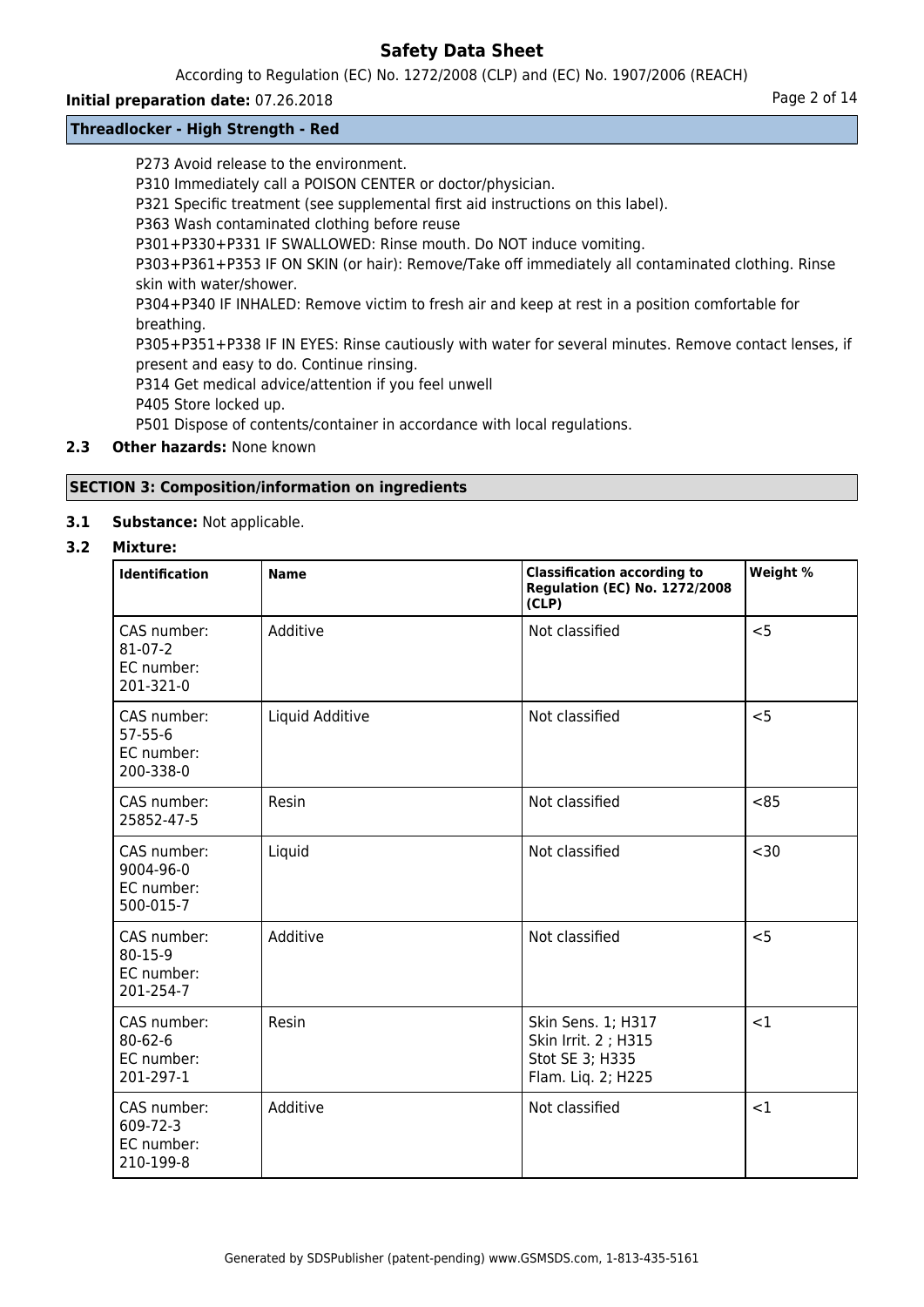According to Regulation (EC) No. 1272/2008 (CLP) and (EC) No. 1907/2006 (REACH)

# **Initial preparation date:** 07.26.2018 **Page 2 of 14**

# **Threadlocker - High Strength - Red**

P273 Avoid release to the environment.

P310 Immediately call a POISON CENTER or doctor/physician.

P321 Specific treatment (see supplemental first aid instructions on this label).

P363 Wash contaminated clothing before reuse

P301+P330+P331 IF SWALLOWED: Rinse mouth. Do NOT induce vomiting.

P303+P361+P353 IF ON SKIN (or hair): Remove/Take off immediately all contaminated clothing. Rinse skin with water/shower.

P304+P340 IF INHALED: Remove victim to fresh air and keep at rest in a position comfortable for breathing.

P305+P351+P338 IF IN EYES: Rinse cautiously with water for several minutes. Remove contact lenses, if present and easy to do. Continue rinsing.

P314 Get medical advice/attention if you feel unwell

P405 Store locked up.

P501 Dispose of contents/container in accordance with local regulations.

# **2.3 Other hazards:** None known

# **SECTION 3: Composition/information on ingredients**

# **3.1 Substance:** Not applicable.

# **3.2 Mixture:**

| Identification                                          | <b>Name</b>     | <b>Classification according to</b><br><b>Regulation (EC) No. 1272/2008</b><br>(CLP) | Weight % |
|---------------------------------------------------------|-----------------|-------------------------------------------------------------------------------------|----------|
| CAS number:<br>$81 - 07 - 2$<br>EC number:<br>201-321-0 | Additive        | Not classified                                                                      | < 5      |
| CAS number:<br>$57 - 55 - 6$<br>EC number:<br>200-338-0 | Liquid Additive | Not classified                                                                      | $<$ 5    |
| CAS number:<br>25852-47-5                               | Resin           | Not classified                                                                      | <85      |
| CAS number:<br>9004-96-0<br>EC number:<br>500-015-7     | Liquid          | Not classified                                                                      | $30$     |
| CAS number:<br>80-15-9<br>EC number:<br>201-254-7       | Additive        | Not classified                                                                      | < 5      |
| CAS number:<br>$80 - 62 - 6$<br>EC number:<br>201-297-1 | Resin           | Skin Sens. 1; H317<br>Skin Irrit. 2 ; H315<br>Stot SE 3; H335<br>Flam. Liq. 2; H225 | <1       |
| CAS number:<br>609-72-3<br>EC number:<br>210-199-8      | Additive        | Not classified                                                                      | <1       |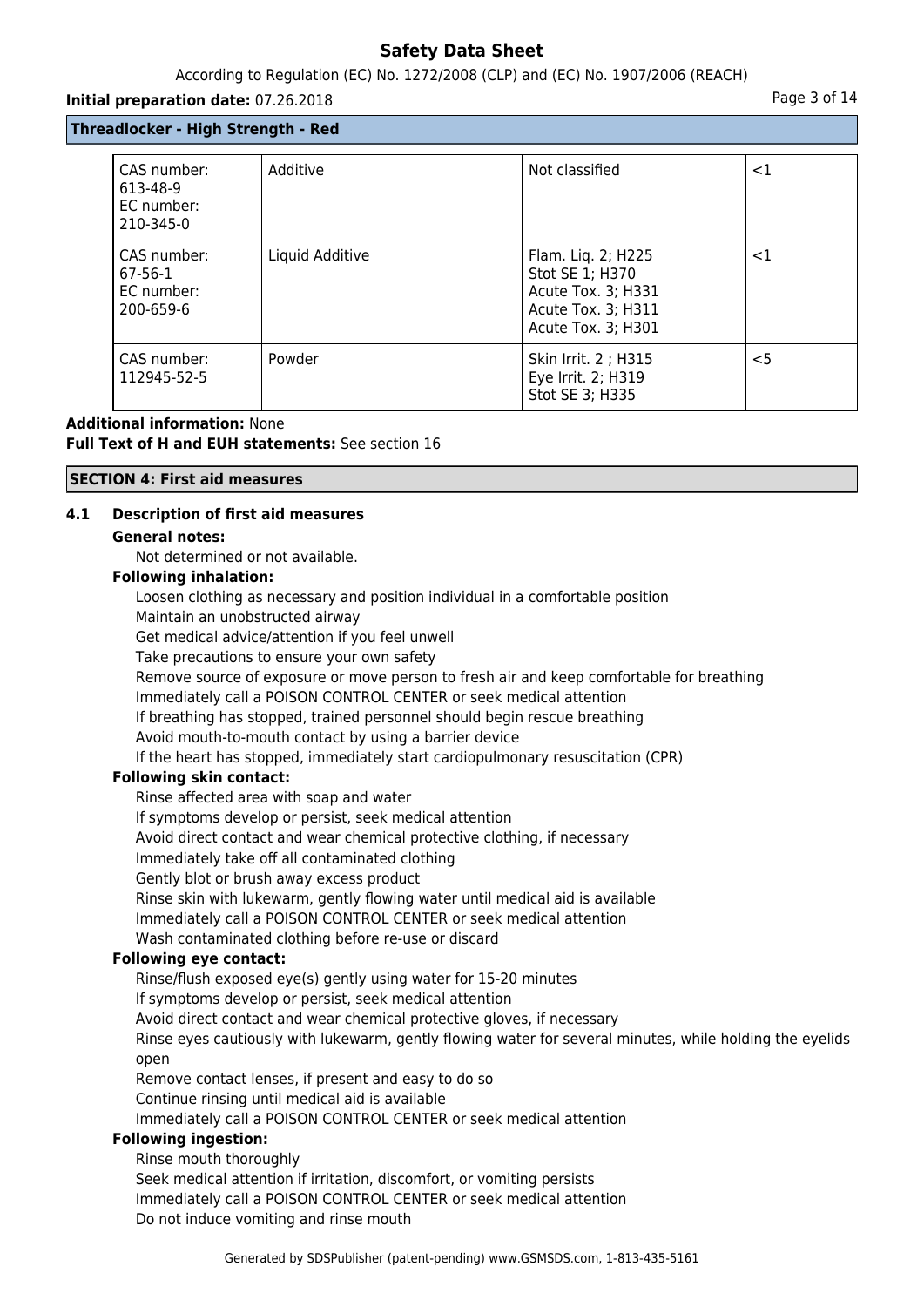# According to Regulation (EC) No. 1272/2008 (CLP) and (EC) No. 1907/2006 (REACH)

### **Initial preparation date:** 07.26.2018 **Page 3 of 14 Page 3 of 14**

# **Threadlocker - High Strength - Red**

| CAS number:<br>613-48-9                             | Additive        | Not classified                                                                                          | $<$ 1  |
|-----------------------------------------------------|-----------------|---------------------------------------------------------------------------------------------------------|--------|
| EC number:<br>210-345-0                             |                 |                                                                                                         |        |
| CAS number:<br>$67-56-1$<br>EC number:<br>200-659-6 | Liquid Additive | Flam. Lig. 2; H225<br>Stot SE 1; H370<br>Acute Tox. 3; H331<br>Acute Tox. 3; H311<br>Acute Tox. 3; H301 | ${<}1$ |
| CAS number:<br>112945-52-5                          | Powder          | Skin Irrit. 2 ; H315<br>Eye Irrit. 2; H319<br>Stot SE 3; H335                                           | $<$ 5  |

# **Additional information:** None **Full Text of H and EUH statements:** See section 16

### **SECTION 4: First aid measures**

# **4.1 Description of first aid measures**

### **General notes:**

Not determined or not available.

### **Following inhalation:**

Loosen clothing as necessary and position individual in a comfortable position

Maintain an unobstructed airway

Get medical advice/attention if you feel unwell

Take precautions to ensure your own safety

Remove source of exposure or move person to fresh air and keep comfortable for breathing

Immediately call a POISON CONTROL CENTER or seek medical attention

If breathing has stopped, trained personnel should begin rescue breathing

Avoid mouth-to-mouth contact by using a barrier device

If the heart has stopped, immediately start cardiopulmonary resuscitation (CPR)

# **Following skin contact:**

Rinse affected area with soap and water If symptoms develop or persist, seek medical attention Avoid direct contact and wear chemical protective clothing, if necessary Immediately take off all contaminated clothing Gently blot or brush away excess product Rinse skin with lukewarm, gently flowing water until medical aid is available Immediately call a POISON CONTROL CENTER or seek medical attention Wash contaminated clothing before re-use or discard

# **Following eye contact:**

Rinse/flush exposed eye(s) gently using water for 15-20 minutes If symptoms develop or persist, seek medical attention Avoid direct contact and wear chemical protective gloves, if necessary Rinse eyes cautiously with lukewarm, gently flowing water for several minutes, while holding the eyelids open Remove contact lenses, if present and easy to do so Continue rinsing until medical aid is available

Immediately call a POISON CONTROL CENTER or seek medical attention

# **Following ingestion:**

Rinse mouth thoroughly Seek medical attention if irritation, discomfort, or vomiting persists Immediately call a POISON CONTROL CENTER or seek medical attention Do not induce vomiting and rinse mouth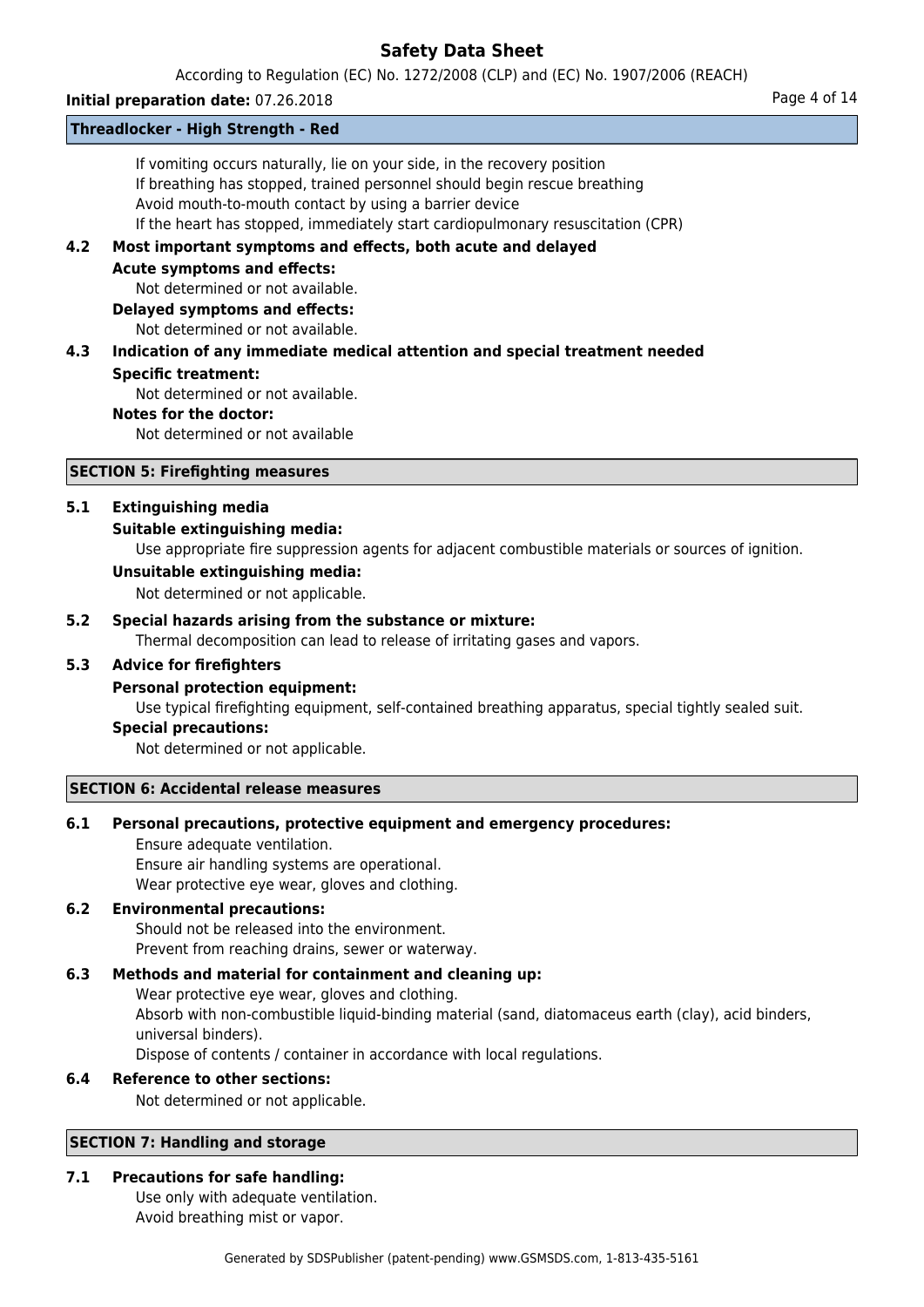According to Regulation (EC) No. 1272/2008 (CLP) and (EC) No. 1907/2006 (REACH)

# **Initial preparation date:** 07.26.2018 **Page 4 of 14**

### **Threadlocker - High Strength - Red**

If vomiting occurs naturally, lie on your side, in the recovery position If breathing has stopped, trained personnel should begin rescue breathing Avoid mouth-to-mouth contact by using a barrier device If the heart has stopped, immediately start cardiopulmonary resuscitation (CPR)

# **4.2 Most important symptoms and effects, both acute and delayed**

**Acute symptoms and effects:**

Not determined or not available.

**Delayed symptoms and effects:**

Not determined or not available.

# **4.3 Indication of any immediate medical attention and special treatment needed Specific treatment:**

Not determined or not available.

### **Notes for the doctor:**

Not determined or not available

# **SECTION 5: Firefighting measures**

### **5.1 Extinguishing media**

# **Suitable extinguishing media:**

Use appropriate fire suppression agents for adjacent combustible materials or sources of ignition.

### **Unsuitable extinguishing media:**

Not determined or not applicable.

# **5.2 Special hazards arising from the substance or mixture:**

Thermal decomposition can lead to release of irritating gases and vapors.

# **5.3 Advice for firefighters**

# **Personal protection equipment:**

Use typical firefighting equipment, self-contained breathing apparatus, special tightly sealed suit.

# **Special precautions:**

Not determined or not applicable.

#### **SECTION 6: Accidental release measures**

# **6.1 Personal precautions, protective equipment and emergency procedures:**

Ensure adequate ventilation. Ensure air handling systems are operational. Wear protective eye wear, gloves and clothing.

# **6.2 Environmental precautions:**

Should not be released into the environment. Prevent from reaching drains, sewer or waterway.

# **6.3 Methods and material for containment and cleaning up:**

Wear protective eye wear, gloves and clothing. Absorb with non-combustible liquid-binding material (sand, diatomaceus earth (clay), acid binders, universal binders).

Dispose of contents / container in accordance with local regulations.

#### **6.4 Reference to other sections:**

Not determined or not applicable.

#### **SECTION 7: Handling and storage**

# **7.1 Precautions for safe handling:**

Use only with adequate ventilation. Avoid breathing mist or vapor.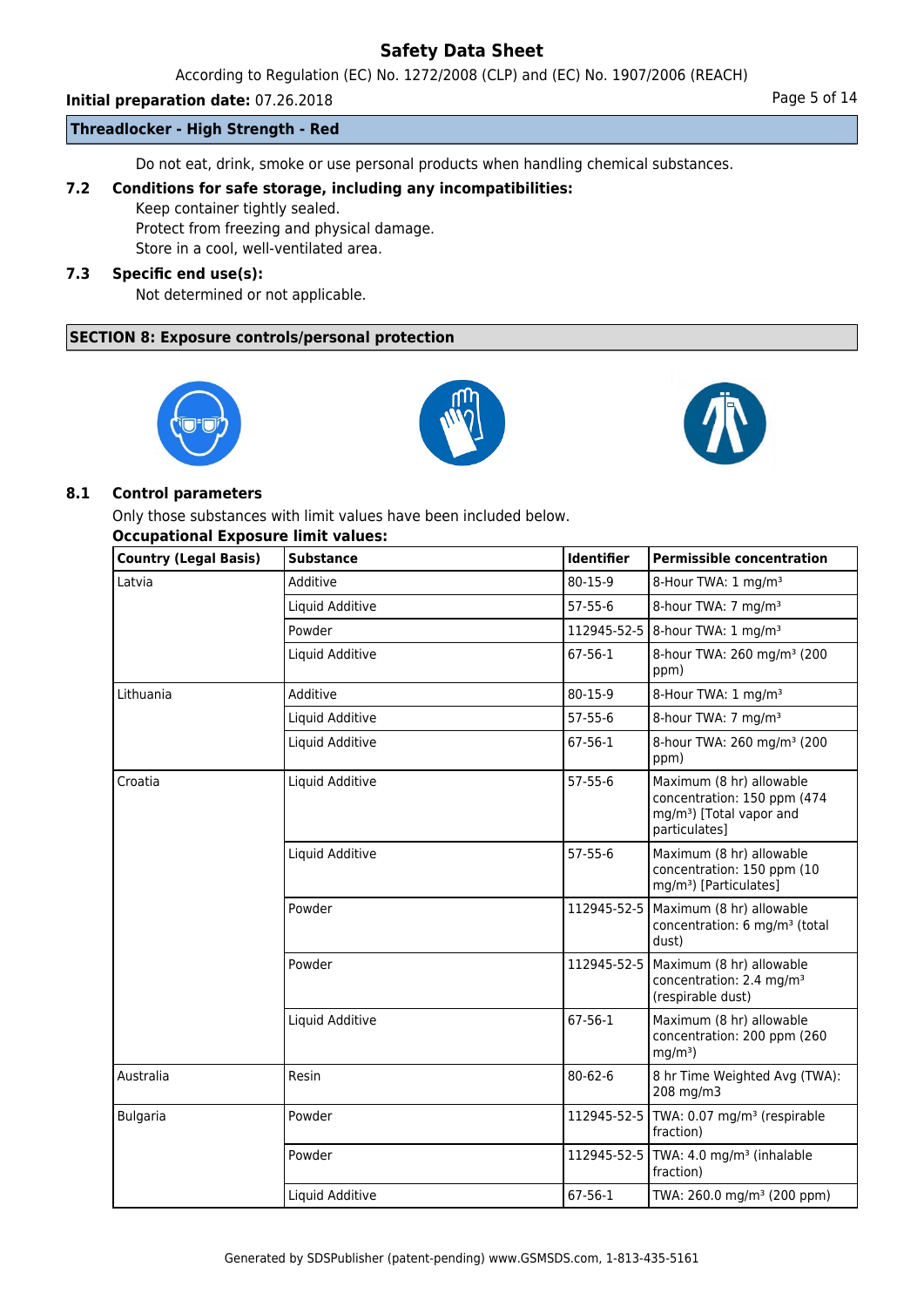According to Regulation (EC) No. 1272/2008 (CLP) and (EC) No. 1907/2006 (REACH)

# **Initial preparation date:** 07.26.2018 **Page 1 and 2018** Page 5 of 14

### **Threadlocker - High Strength - Red**

Do not eat, drink, smoke or use personal products when handling chemical substances.

# **7.2 Conditions for safe storage, including any incompatibilities:**

Keep container tightly sealed.

Protect from freezing and physical damage.

Store in a cool, well-ventilated area.

# **7.3 Specific end use(s):**

Not determined or not applicable.

# **SECTION 8: Exposure controls/personal protection**







# **8.1 Control parameters**

Only those substances with limit values have been included below.

# **Occupational Exposure limit values:**

| Country (Legal Basis) | <b>Substance</b> | Identifier    | <b>Permissible concentration</b>                                                                                 |
|-----------------------|------------------|---------------|------------------------------------------------------------------------------------------------------------------|
| Latvia                | Additive         | 80-15-9       | 8-Hour TWA: 1 mg/m <sup>3</sup>                                                                                  |
|                       | Liquid Additive  | $57 - 55 - 6$ | 8-hour TWA: 7 mg/m <sup>3</sup>                                                                                  |
|                       | Powder           | 112945-52-5   | 8-hour TWA: 1 mg/m <sup>3</sup>                                                                                  |
|                       | Liquid Additive  | $67 - 56 - 1$ | 8-hour TWA: 260 mg/m <sup>3</sup> (200<br>ppm)                                                                   |
| Lithuania             | Additive         | 80-15-9       | 8-Hour TWA: 1 mg/m <sup>3</sup>                                                                                  |
|                       | Liquid Additive  | 57-55-6       | 8-hour TWA: 7 mg/m <sup>3</sup>                                                                                  |
|                       | Liquid Additive  | 67-56-1       | 8-hour TWA: 260 mg/m <sup>3</sup> (200<br>ppm)                                                                   |
| Croatia               | Liquid Additive  | $57 - 55 - 6$ | Maximum (8 hr) allowable<br>concentration: 150 ppm (474<br>mg/m <sup>3</sup> ) [Total vapor and<br>particulates] |
|                       | Liquid Additive  | $57 - 55 - 6$ | Maximum (8 hr) allowable<br>concentration: 150 ppm (10<br>mg/m <sup>3</sup> ) [Particulates]                     |
|                       | Powder           | 112945-52-5   | Maximum (8 hr) allowable<br>concentration: 6 mg/m <sup>3</sup> (total<br>dust)                                   |
|                       | Powder           | 112945-52-5   | Maximum (8 hr) allowable<br>concentration: 2.4 mg/m <sup>3</sup><br>(respirable dust)                            |
|                       | Liquid Additive  | 67-56-1       | Maximum (8 hr) allowable<br>concentration: 200 ppm (260<br>$mg/m3$ )                                             |
| Australia             | Resin            | $80 - 62 - 6$ | 8 hr Time Weighted Avg (TWA):<br>208 mg/m3                                                                       |
| <b>Bulgaria</b>       | Powder           | 112945-52-5   | TWA: 0.07 mg/m <sup>3</sup> (respirable<br>fraction)                                                             |
|                       | Powder           |               | 112945-52-5   TWA: 4.0 mg/m <sup>3</sup> (inhalable<br>fraction)                                                 |
|                       | Liquid Additive  | 67-56-1       | TWA: 260.0 mg/m <sup>3</sup> (200 ppm)                                                                           |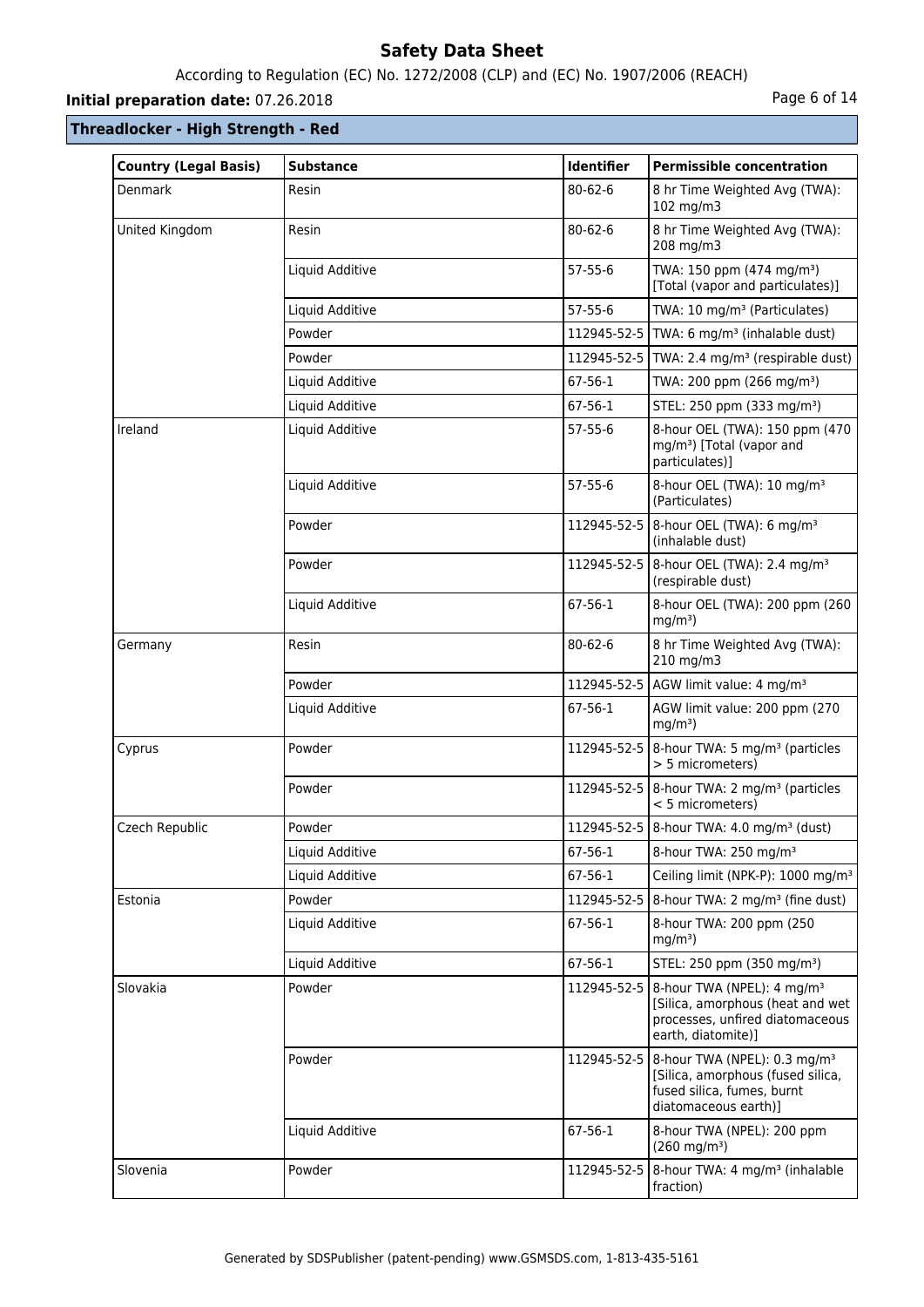# According to Regulation (EC) No. 1272/2008 (CLP) and (EC) No. 1907/2006 (REACH)

# **Initial preparation date:** 07.26.2018 **Page 6 of 14**

# **Threadlocker - High Strength - Red**

| <b>Country (Legal Basis)</b> | <b>Substance</b> | <b>Identifier</b> | <b>Permissible concentration</b>                                                                                                                  |
|------------------------------|------------------|-------------------|---------------------------------------------------------------------------------------------------------------------------------------------------|
| <b>Denmark</b>               | Resin            | $80 - 62 - 6$     | 8 hr Time Weighted Avg (TWA):<br>102 mg/m3                                                                                                        |
| United Kingdom               | Resin            | $80 - 62 - 6$     | 8 hr Time Weighted Avg (TWA):<br>208 mg/m3                                                                                                        |
|                              | Liquid Additive  | $57-55-6$         | TWA: 150 ppm (474 mg/m <sup>3</sup> )<br>[Total (vapor and particulates)]                                                                         |
|                              | Liquid Additive  | $57 - 55 - 6$     | TWA: 10 mg/m <sup>3</sup> (Particulates)                                                                                                          |
|                              | Powder           |                   | 112945-52-5   TWA: 6 mg/m <sup>3</sup> (inhalable dust)                                                                                           |
|                              | Powder           |                   | 112945-52-5   TWA: 2.4 mg/m <sup>3</sup> (respirable dust)                                                                                        |
|                              | Liquid Additive  | $67 - 56 - 1$     | TWA: 200 ppm (266 mg/m <sup>3</sup> )                                                                                                             |
|                              | Liquid Additive  | $67 - 56 - 1$     | STEL: 250 ppm (333 mg/m <sup>3</sup> )                                                                                                            |
| Ireland                      | Liquid Additive  | 57-55-6           | 8-hour OEL (TWA): 150 ppm (470<br>mg/m <sup>3</sup> ) [Total (vapor and<br>particulates)]                                                         |
|                              | Liquid Additive  | $57 - 55 - 6$     | 8-hour OEL (TWA): 10 mg/m <sup>3</sup><br>(Particulates)                                                                                          |
|                              | Powder           |                   | 112945-52-5   8-hour OEL (TWA): 6 mg/m <sup>3</sup><br>(inhalable dust)                                                                           |
|                              | Powder           |                   | 112945-52-5 8-hour OEL (TWA): 2.4 mg/m <sup>3</sup><br>(respirable dust)                                                                          |
|                              | Liquid Additive  | 67-56-1           | 8-hour OEL (TWA): 200 ppm (260<br>$mg/m3$ )                                                                                                       |
| Germany                      | Resin            | $80 - 62 - 6$     | 8 hr Time Weighted Avg (TWA):<br>210 mg/m3                                                                                                        |
|                              | Powder           |                   | 112945-52-5 AGW limit value: 4 mg/m <sup>3</sup>                                                                                                  |
|                              | Liquid Additive  | 67-56-1           | AGW limit value: 200 ppm (270<br>$mg/m3$ )                                                                                                        |
| Cyprus                       | Powder           |                   | 112945-52-5   8-hour TWA: 5 mg/m <sup>3</sup> (particles<br>> 5 micrometers)                                                                      |
|                              | Powder           |                   | 112945-52-5   8-hour TWA: 2 mg/m <sup>3</sup> (particles<br>< 5 micrometers)                                                                      |
| Czech Republic               | Powder           |                   | 112945-52-5   8-hour TWA: 4.0 mg/m <sup>3</sup> (dust)                                                                                            |
|                              | Liquid Additive  | 67-56-1           | 8-hour TWA: 250 mg/m <sup>3</sup>                                                                                                                 |
|                              | Liquid Additive  | 67-56-1           | Ceiling limit (NPK-P): 1000 mg/m <sup>3</sup>                                                                                                     |
| Estonia                      | Powder           | 112945-52-5       | $8$ -hour TWA: 2 mg/m <sup>3</sup> (fine dust)                                                                                                    |
|                              | Liquid Additive  | 67-56-1           | 8-hour TWA: 200 ppm (250)<br>$mg/m3$ )                                                                                                            |
|                              | Liquid Additive  | 67-56-1           | STEL: 250 ppm (350 mg/m <sup>3</sup> )                                                                                                            |
| Slovakia                     | Powder           |                   | 112945-52-5   8-hour TWA (NPEL): 4 mg/m <sup>3</sup><br>[Silica, amorphous (heat and wet<br>processes, unfired diatomaceous<br>earth, diatomite)] |
|                              | Powder           |                   | 112945-52-5   8-hour TWA (NPEL): 0.3 mg/m <sup>3</sup><br>[Silica, amorphous (fused silica,<br>fused silica, fumes, burnt<br>diatomaceous earth)] |
|                              | Liquid Additive  | 67-56-1           | 8-hour TWA (NPEL): 200 ppm<br>$(260 \text{ mg/m}^3)$                                                                                              |
| Slovenia                     | Powder           |                   | 112945-52-5   8-hour TWA: 4 mg/m <sup>3</sup> (inhalable<br>fraction)                                                                             |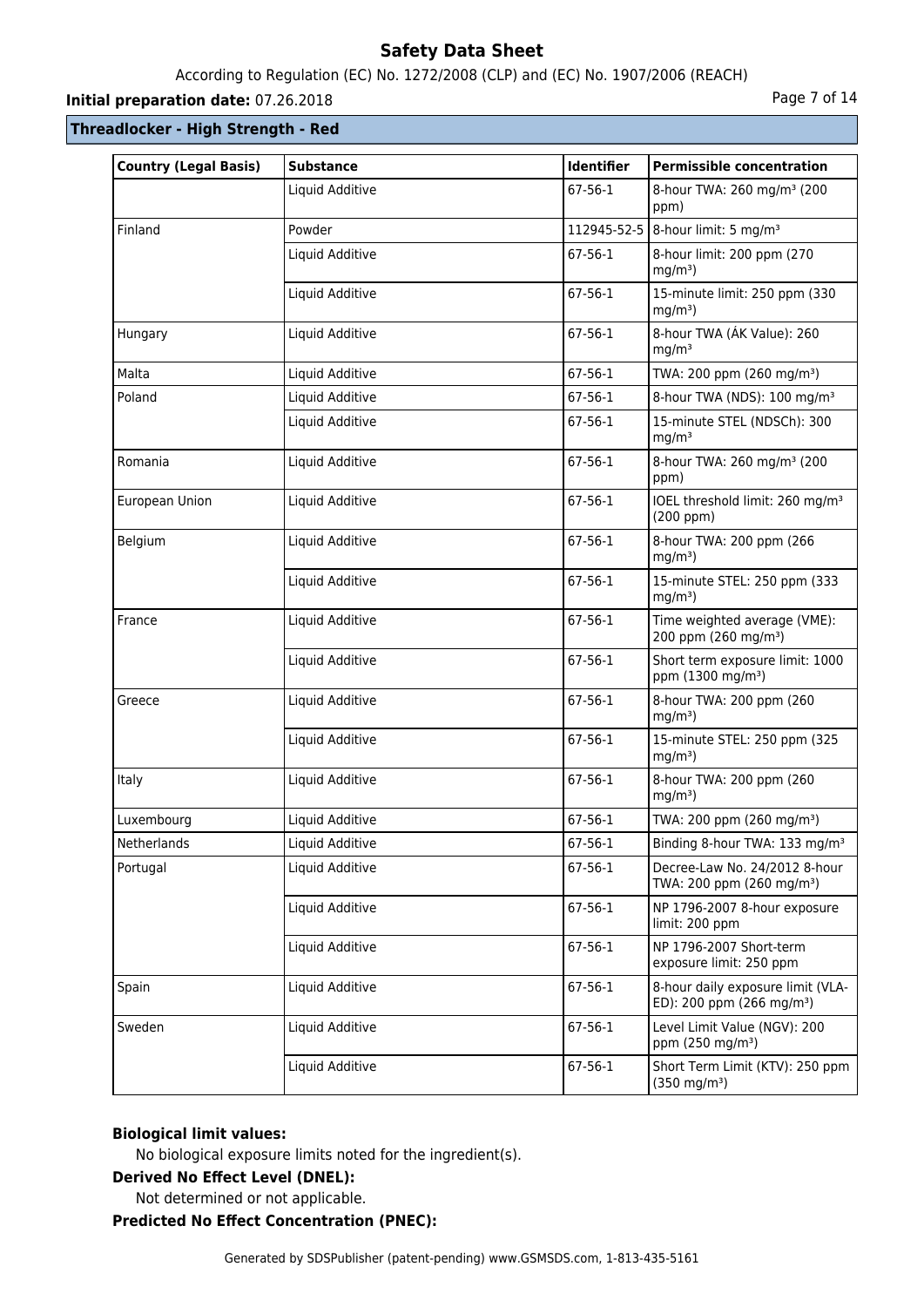# According to Regulation (EC) No. 1272/2008 (CLP) and (EC) No. 1907/2006 (REACH)

# **Initial preparation date:** 07.26.2018 **Page 7 of 14**

# **Threadlocker - High Strength - Red**

| <b>Country (Legal Basis)</b> | <b>Substance</b> | Identifier    | <b>Permissible concentration</b>                                           |
|------------------------------|------------------|---------------|----------------------------------------------------------------------------|
|                              | Liquid Additive  | 67-56-1       | 8-hour TWA: 260 mg/m <sup>3</sup> (200<br>ppm)                             |
| Finland                      | Powder           |               | 112945-52-5   8-hour limit: 5 mg/m <sup>3</sup>                            |
|                              | Liquid Additive  | 67-56-1       | 8-hour limit: 200 ppm (270<br>$mg/m3$ )                                    |
|                              | Liquid Additive  | 67-56-1       | 15-minute limit: 250 ppm (330<br>$mg/m3$ )                                 |
| Hungary                      | Liquid Additive  | 67-56-1       | 8-hour TWA (AK Value): 260<br>mg/m <sup>3</sup>                            |
| Malta                        | Liquid Additive  | 67-56-1       | TWA: 200 ppm (260 mg/m <sup>3</sup> )                                      |
| Poland                       | Liquid Additive  | 67-56-1       | 8-hour TWA (NDS): 100 mg/m <sup>3</sup>                                    |
|                              | Liquid Additive  | 67-56-1       | 15-minute STEL (NDSCh): 300<br>mg/m <sup>3</sup>                           |
| Romania                      | Liquid Additive  | 67-56-1       | 8-hour TWA: 260 mg/m <sup>3</sup> (200<br>ppm)                             |
| European Union               | Liquid Additive  | 67-56-1       | IOEL threshold limit: 260 mg/m <sup>3</sup><br>(200 ppm)                   |
| Belgium                      | Liquid Additive  | 67-56-1       | 8-hour TWA: 200 ppm (266<br>$mq/m3$ )                                      |
|                              | Liquid Additive  | 67-56-1       | 15-minute STEL: 250 ppm (333<br>$mg/m3$ )                                  |
| France                       | Liquid Additive  | 67-56-1       | Time weighted average (VME):<br>200 ppm (260 mg/m <sup>3</sup> )           |
|                              | Liquid Additive  | $67 - 56 - 1$ | Short term exposure limit: 1000<br>ppm (1300 mg/m <sup>3</sup> )           |
| Greece                       | Liquid Additive  | $67 - 56 - 1$ | 8-hour TWA: 200 ppm (260<br>$mg/m3$ )                                      |
|                              | Liquid Additive  | 67-56-1       | 15-minute STEL: 250 ppm (325<br>$mg/m3$ )                                  |
| Italy                        | Liquid Additive  | 67-56-1       | 8-hour TWA: 200 ppm (260<br>$mg/m3$ )                                      |
| Luxembourg                   | Liquid Additive  | 67-56-1       | TWA: 200 ppm (260 mg/m <sup>3</sup> )                                      |
| Netherlands                  | Liquid Additive  | 67-56-1       | Binding 8-hour TWA: 133 mg/m <sup>3</sup>                                  |
| Portugal                     | Liquid Additive  | 67-56-1       | Decree-Law No. 24/2012 8-hour<br>TWA: 200 ppm (260 mg/m <sup>3</sup> )     |
|                              | Liquid Additive  | 67-56-1       | NP 1796-2007 8-hour exposure<br>limit: 200 ppm                             |
|                              | Liquid Additive  | 67-56-1       | NP 1796-2007 Short-term<br>exposure limit: 250 ppm                         |
| Spain                        | Liquid Additive  | 67-56-1       | 8-hour daily exposure limit (VLA-<br>ED): 200 ppm (266 mg/m <sup>3</sup> ) |
| Sweden                       | Liquid Additive  | 67-56-1       | Level Limit Value (NGV): 200<br>ppm (250 mg/m <sup>3</sup> )               |
|                              | Liquid Additive  | 67-56-1       | Short Term Limit (KTV): 250 ppm<br>$(350 \text{ mg/m}^3)$                  |

# **Biological limit values:**

No biological exposure limits noted for the ingredient(s).

# **Derived No Effect Level (DNEL):**

Not determined or not applicable.

### **Predicted No Effect Concentration (PNEC):**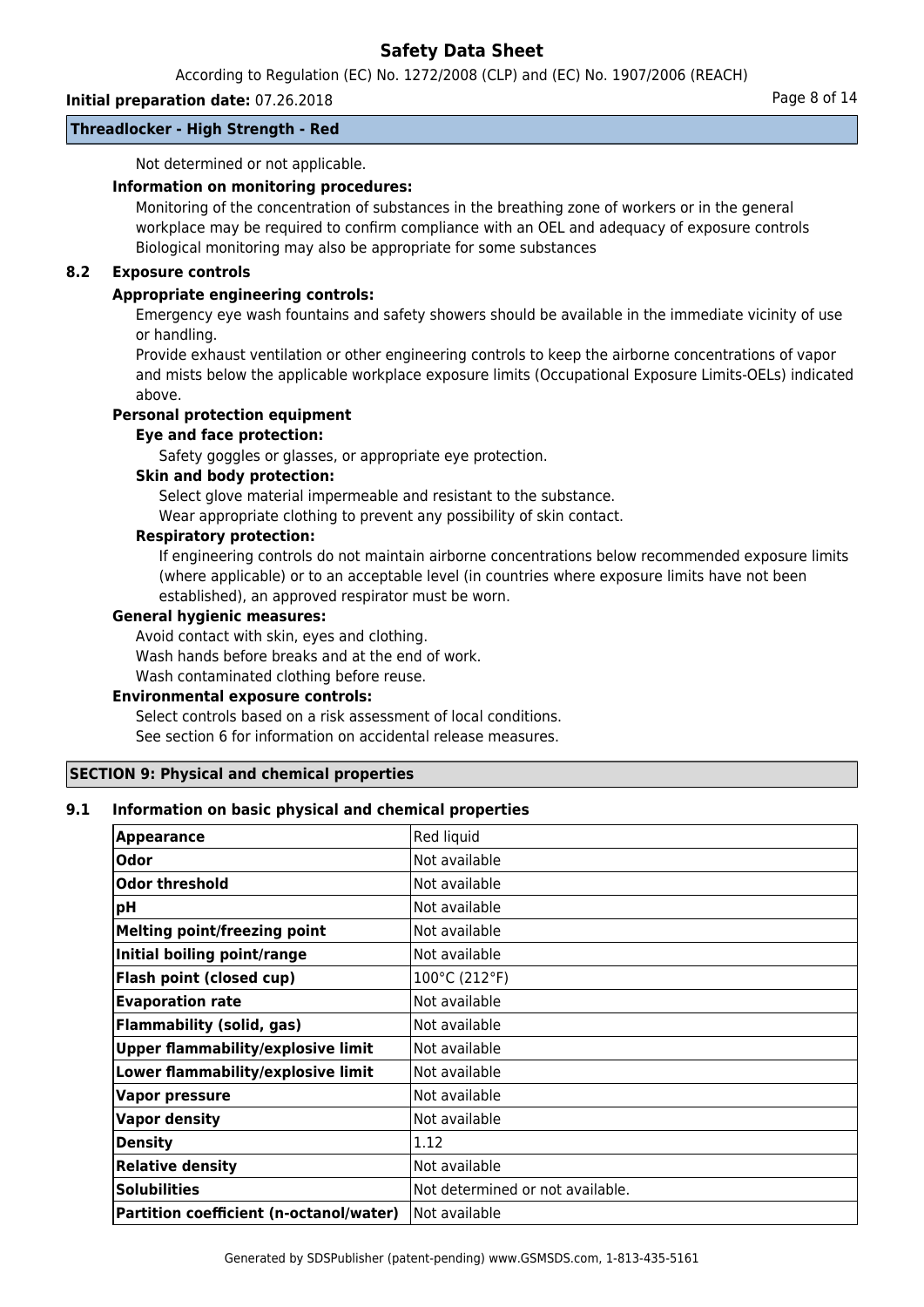According to Regulation (EC) No. 1272/2008 (CLP) and (EC) No. 1907/2006 (REACH)

# **Initial preparation date:** 07.26.2018 **Page 8 of 14**

#### **Threadlocker - High Strength - Red**

Not determined or not applicable.

# **Information on monitoring procedures:**

Monitoring of the concentration of substances in the breathing zone of workers or in the general workplace may be required to confirm compliance with an OEL and adequacy of exposure controls Biological monitoring may also be appropriate for some substances

## **8.2 Exposure controls**

### **Appropriate engineering controls:**

Emergency eye wash fountains and safety showers should be available in the immediate vicinity of use or handling.

Provide exhaust ventilation or other engineering controls to keep the airborne concentrations of vapor and mists below the applicable workplace exposure limits (Occupational Exposure Limits-OELs) indicated above.

## **Personal protection equipment**

#### **Eye and face protection:**

Safety goggles or glasses, or appropriate eye protection.

#### **Skin and body protection:**

Select glove material impermeable and resistant to the substance.

Wear appropriate clothing to prevent any possibility of skin contact.

### **Respiratory protection:**

If engineering controls do not maintain airborne concentrations below recommended exposure limits (where applicable) or to an acceptable level (in countries where exposure limits have not been established), an approved respirator must be worn.

#### **General hygienic measures:**

Avoid contact with skin, eyes and clothing.

Wash hands before breaks and at the end of work.

Wash contaminated clothing before reuse.

#### **Environmental exposure controls:**

Select controls based on a risk assessment of local conditions. See section 6 for information on accidental release measures.

#### **SECTION 9: Physical and chemical properties**

#### **9.1 Information on basic physical and chemical properties**

| <b>Appearance</b>                         | Red liquid                       |
|-------------------------------------------|----------------------------------|
| Odor                                      | Not available                    |
| Odor threshold                            | Not available                    |
| pH                                        | Not available                    |
| <b>Melting point/freezing point</b>       | Not available                    |
| Initial boiling point/range               | Not available                    |
| <b>Flash point (closed cup)</b>           | 100°C (212°F)                    |
| <b>Evaporation rate</b>                   | Not available                    |
| <b>Flammability (solid, gas)</b>          | Not available                    |
| <b>Upper flammability/explosive limit</b> | Not available                    |
| Lower flammability/explosive limit        | Not available                    |
| <b>Vapor pressure</b>                     | Not available                    |
| <b>Vapor density</b>                      | Not available                    |
| <b>Density</b>                            | 1.12                             |
| <b>Relative density</b>                   | Not available                    |
| <b>Solubilities</b>                       | Not determined or not available. |
| Partition coefficient (n-octanol/water)   | Not available                    |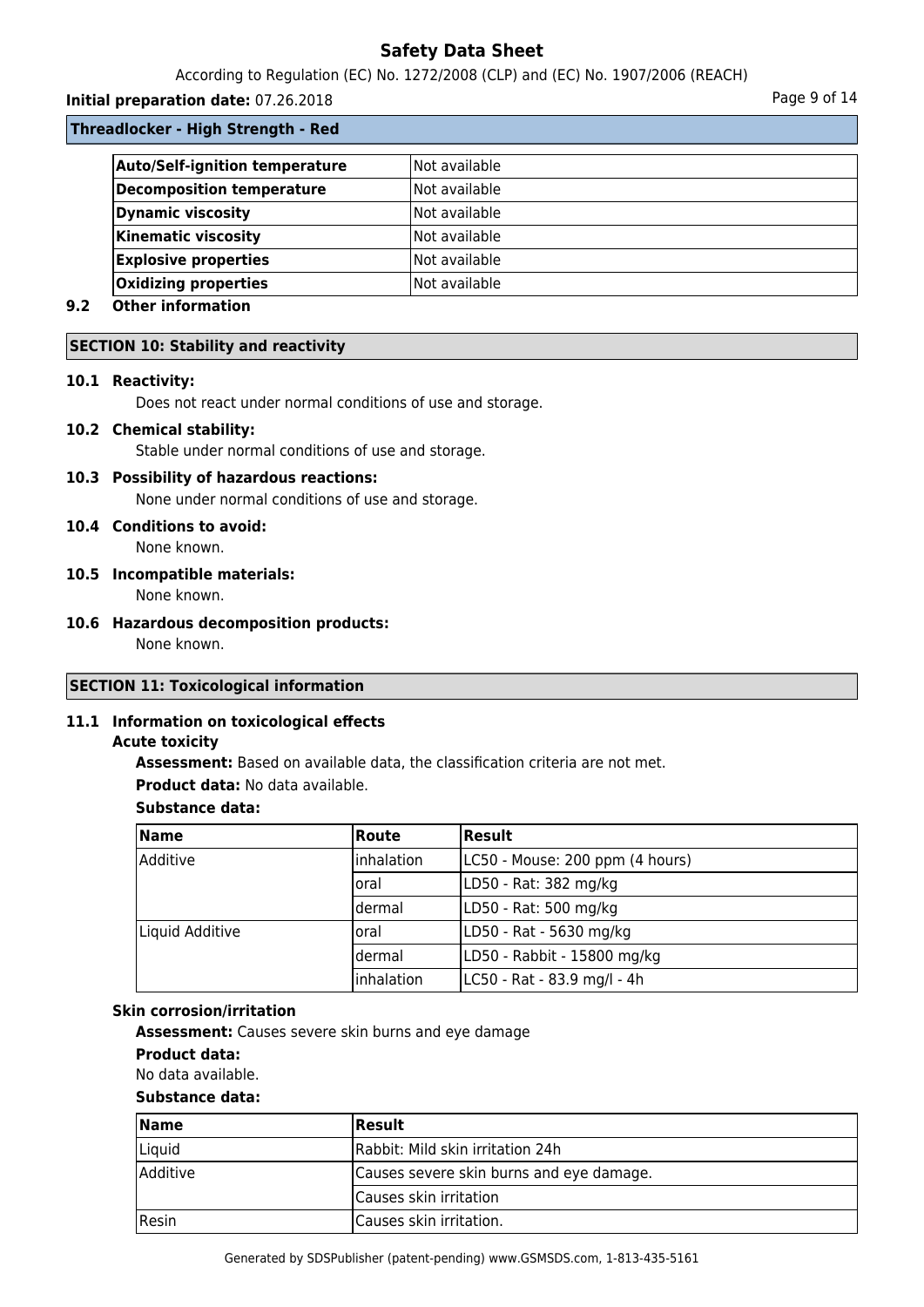According to Regulation (EC) No. 1272/2008 (CLP) and (EC) No. 1907/2006 (REACH)

# **Initial preparation date:** 07.26.2018 **Page 9 of 14**

**Threadlocker - High Strength - Red**

| Not available |
|---------------|
| Not available |
| Not available |
| Not available |
| Not available |
| Not available |
|               |

# **9.2 Other information**

# **SECTION 10: Stability and reactivity**

# **10.1 Reactivity:**

Does not react under normal conditions of use and storage.

# **10.2 Chemical stability:**

Stable under normal conditions of use and storage.

# **10.3 Possibility of hazardous reactions:**

None under normal conditions of use and storage.

# **10.4 Conditions to avoid:**

None known.

### **10.5 Incompatible materials:**

None known.

# **10.6 Hazardous decomposition products:**

None known.

# **SECTION 11: Toxicological information**

# **11.1 Information on toxicological effects**

# **Acute toxicity**

**Assessment:** Based on available data, the classification criteria are not met.

**Product data:** No data available.

# **Substance data:**

| <b>Name</b>             | <b>Route</b>       | Result                          |
|-------------------------|--------------------|---------------------------------|
| lAdditive<br>Inhalation |                    | LC50 - Mouse: 200 ppm (4 hours) |
|                         | loral              | LD50 - Rat: 382 mg/kg           |
|                         | ldermal            | LD50 - Rat: 500 mg/kg           |
| Liquid Additive         | Ioral              | LD50 - Rat - 5630 mg/kg         |
|                         | ldermal            | LD50 - Rabbit - 15800 mg/kg     |
|                         | <b>linhalation</b> | LC50 - Rat - 83.9 mg/l - 4h     |

# **Skin corrosion/irritation**

**Assessment:** Causes severe skin burns and eye damage

#### **Product data:**

No data available.

# **Substance data:**

| <b>Name</b>     | <b>Result</b>                            |  |
|-----------------|------------------------------------------|--|
| Liquid          | Rabbit: Mild skin irritation 24h         |  |
| <b>Additive</b> | Causes severe skin burns and eye damage. |  |
|                 | Causes skin irritation                   |  |
| Resin           | Causes skin irritation.                  |  |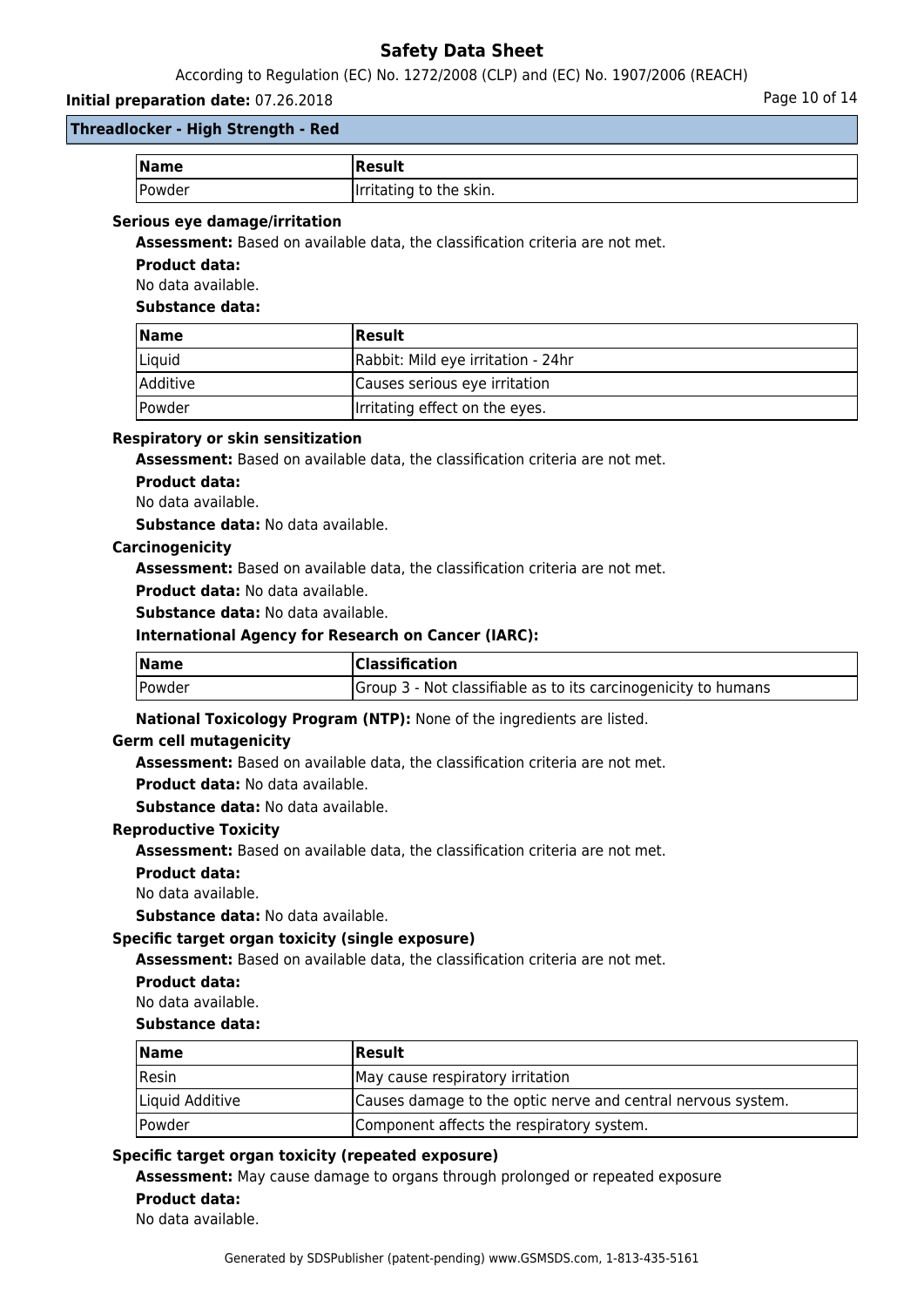According to Regulation (EC) No. 1272/2008 (CLP) and (EC) No. 1907/2006 (REACH)

# **Initial preparation date:** 07.26.2018 **Page 10 of 14**

# **Threadlocker - High Strength - Red**

| $\vert$ Name | <b> Result</b>          |
|--------------|-------------------------|
| Powder       | Irritating to the skin. |

### **Serious eye damage/irritation**

**Assessment:** Based on available data, the classification criteria are not met.

**Product data:**

No data available.

**Substance data:**

| <b>Name</b>                 | <b>Result</b>                      |
|-----------------------------|------------------------------------|
| Liquid                      | Rabbit: Mild eye irritation - 24hr |
| Additive                    | Causes serious eye irritation      |
| <i><u><b>Powder</b></u></i> | Irritating effect on the eyes.     |

### **Respiratory or skin sensitization**

**Assessment:** Based on available data, the classification criteria are not met.

**Product data:**

No data available.

**Substance data:** No data available.

### **Carcinogenicity**

**Assessment:** Based on available data, the classification criteria are not met.

**Product data:** No data available.

**Substance data:** No data available.

# **International Agency for Research on Cancer (IARC):**

| $\sqrt{\mathsf{Name}}$ | <b>Classification</b>                                          |  |
|------------------------|----------------------------------------------------------------|--|
| <b>Powder</b>          | Group 3 - Not classifiable as to its carcinogenicity to humans |  |

# **National Toxicology Program (NTP):** None of the ingredients are listed.

#### **Germ cell mutagenicity**

**Assessment:** Based on available data, the classification criteria are not met.

**Product data:** No data available.

**Substance data:** No data available.

#### **Reproductive Toxicity**

**Assessment:** Based on available data, the classification criteria are not met.

**Product data:**

No data available.

**Substance data:** No data available.

# **Specific target organ toxicity (single exposure)**

**Assessment:** Based on available data, the classification criteria are not met.

**Product data:**

#### No data available.

#### **Substance data:**

| Name            | Result                                                       |
|-----------------|--------------------------------------------------------------|
| Resin           | May cause respiratory irritation                             |
| Liquid Additive | Causes damage to the optic nerve and central nervous system. |
| Powder          | Component affects the respiratory system.                    |

# **Specific target organ toxicity (repeated exposure)**

**Assessment:** May cause damage to organs through prolonged or repeated exposure **Product data:**

No data available.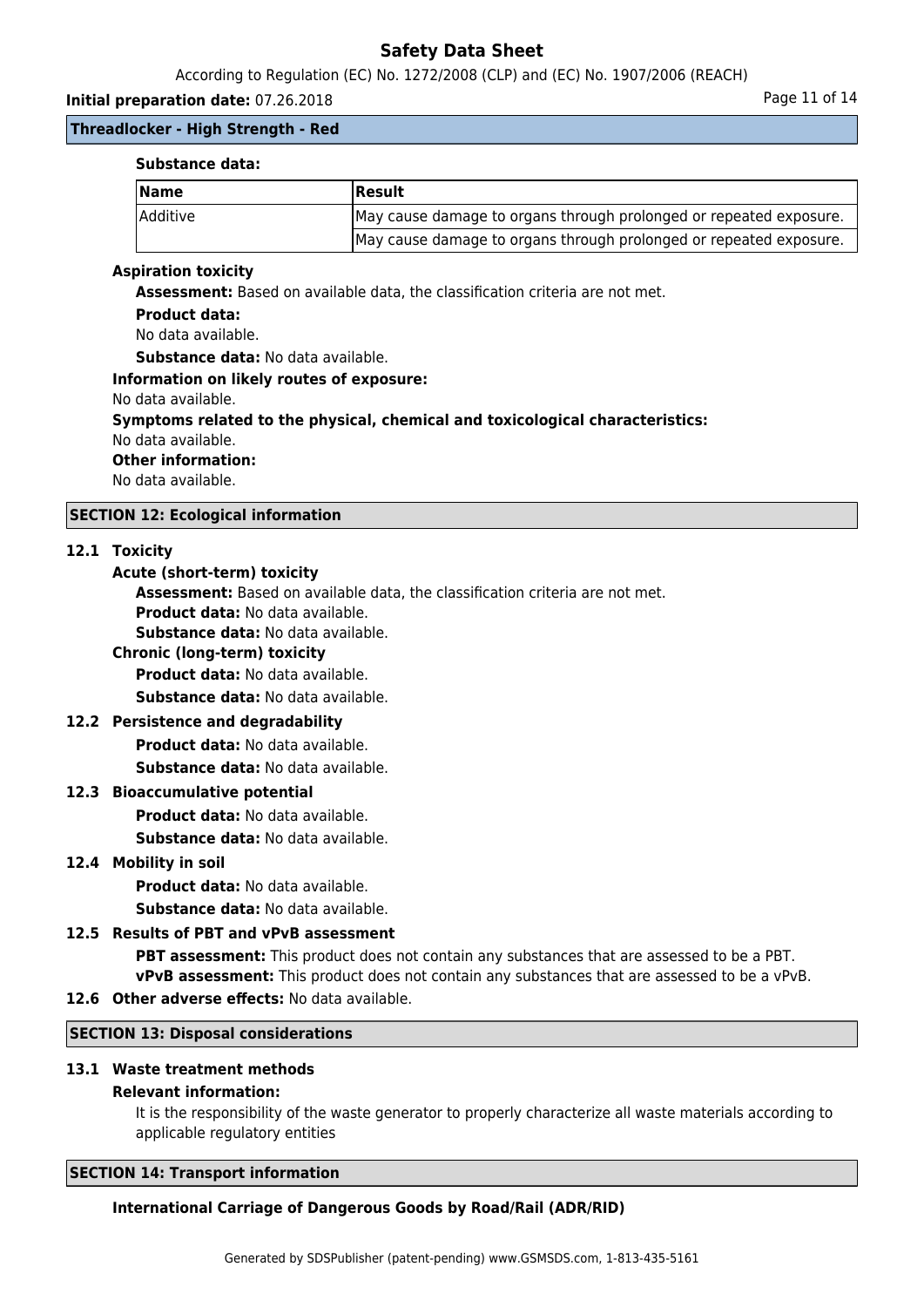According to Regulation (EC) No. 1272/2008 (CLP) and (EC) No. 1907/2006 (REACH)

### **Initial preparation date:** 07.26.2018 **Page 11 of 14**

### **Threadlocker - High Strength - Red**

#### **Substance data:**

| <b>Name</b> | <b> Result</b>                                                     |
|-------------|--------------------------------------------------------------------|
| Additive    | May cause damage to organs through prolonged or repeated exposure. |
|             | May cause damage to organs through prolonged or repeated exposure. |

#### **Aspiration toxicity**

**Assessment:** Based on available data, the classification criteria are not met.

#### **Product data:**

No data available.

**Substance data:** No data available.

# **Information on likely routes of exposure:**

- No data available.
- **Symptoms related to the physical, chemical and toxicological characteristics:** No data available.
- **Other information:**

No data available.

### **SECTION 12: Ecological information**

#### **12.1 Toxicity**

#### **Acute (short-term) toxicity**

**Assessment:** Based on available data, the classification criteria are not met. **Product data:** No data available.

**Substance data:** No data available.

### **Chronic (long-term) toxicity**

**Product data:** No data available.

**Substance data:** No data available.

### **12.2 Persistence and degradability**

**Product data:** No data available.

**Substance data:** No data available.

#### **12.3 Bioaccumulative potential**

**Product data:** No data available.

**Substance data:** No data available.

#### **12.4 Mobility in soil**

**Product data:** No data available.

**Substance data:** No data available.

# **12.5 Results of PBT and vPvB assessment**

**PBT assessment:** This product does not contain any substances that are assessed to be a PBT. **vPvB assessment:** This product does not contain any substances that are assessed to be a vPvB.

# **12.6 Other adverse effects:** No data available.

### **SECTION 13: Disposal considerations**

#### **13.1 Waste treatment methods**

#### **Relevant information:**

It is the responsibility of the waste generator to properly characterize all waste materials according to applicable regulatory entities

#### **SECTION 14: Transport information**

#### **International Carriage of Dangerous Goods by Road/Rail (ADR/RID)**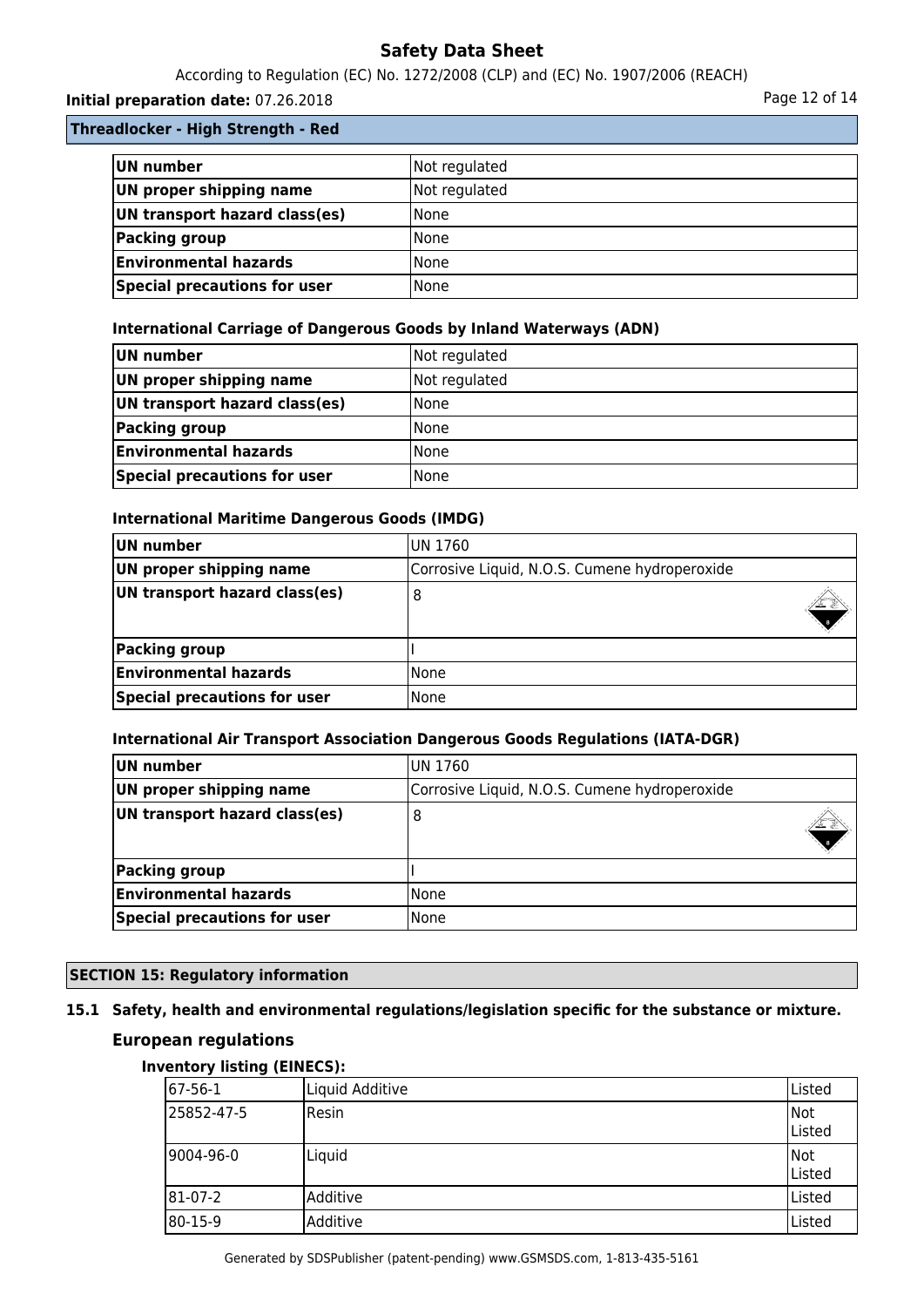According to Regulation (EC) No. 1272/2008 (CLP) and (EC) No. 1907/2006 (REACH)

# **Initial preparation date:** 07.26.2018 **Page 12 of 14** Page 12 of 14

**Threadlocker - High Strength - Red**

| UN number                     | Not regulated |
|-------------------------------|---------------|
| UN proper shipping name       | Not regulated |
| UN transport hazard class(es) | <b>None</b>   |
| Packing group                 | None          |
| <b>Environmental hazards</b>  | l None        |
| Special precautions for user  | <b>None</b>   |

# **International Carriage of Dangerous Goods by Inland Waterways (ADN)**

| UN number                     | Not regulated |
|-------------------------------|---------------|
| UN proper shipping name       | Not regulated |
| UN transport hazard class(es) | <b>None</b>   |
| Packing group                 | <b>None</b>   |
| <b>Environmental hazards</b>  | l None        |
| Special precautions for user  | None          |

# **International Maritime Dangerous Goods (IMDG)**

| UN number                           | UN 1760                                       |  |
|-------------------------------------|-----------------------------------------------|--|
| UN proper shipping name             | Corrosive Liquid, N.O.S. Cumene hydroperoxide |  |
| UN transport hazard class(es)       | 8                                             |  |
| Packing group                       |                                               |  |
| <b>Environmental hazards</b>        | None                                          |  |
| <b>Special precautions for user</b> | None                                          |  |

# **International Air Transport Association Dangerous Goods Regulations (IATA-DGR)**

| UN number                     | IUN 1760                                      |  |
|-------------------------------|-----------------------------------------------|--|
| UN proper shipping name       | Corrosive Liquid, N.O.S. Cumene hydroperoxide |  |
| UN transport hazard class(es) | 8                                             |  |
| Packing group                 |                                               |  |
| <b>Environmental hazards</b>  | None                                          |  |
| Special precautions for user  | None                                          |  |

# **SECTION 15: Regulatory information**

# **15.1 Safety, health and environmental regulations/legislation specific for the substance or mixture.**

# **European regulations**

# **Inventory listing (EINECS):**

| 67-56-1    | Liquid Additive | Listed        |
|------------|-----------------|---------------|
| 25852-47-5 | Resin           | Not<br>Listed |
| 9004-96-0  | Liquid          | Not<br>Listed |
| 81-07-2    | Additive        | Listed        |
| 80-15-9    | Additive        | Listed        |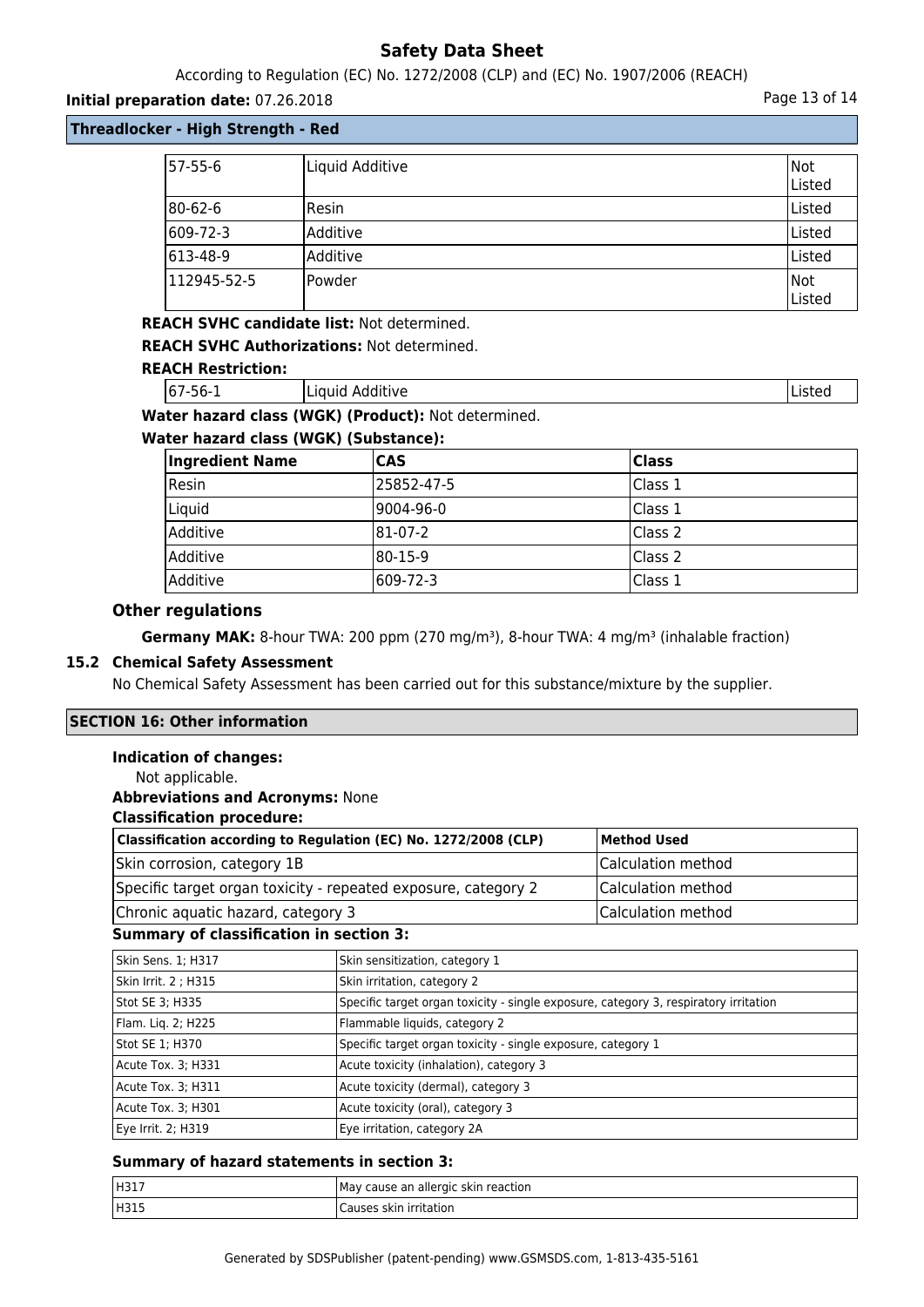According to Regulation (EC) No. 1272/2008 (CLP) and (EC) No. 1907/2006 (REACH)

### **Initial preparation date:** 07.26.2018 **Page 13 of 14**

# **Threadlocker - High Strength - Red**

| 57-55-6     | Liquid Additive | Not<br>Listed |
|-------------|-----------------|---------------|
| 80-62-6     | Resin           | Listed        |
| 609-72-3    | Additive        | Listed        |
| 613-48-9    | lAdditive       | Listed        |
| 112945-52-5 | lPowder         | Not<br>Listed |

# **REACH SVHC candidate list:** Not determined.

**REACH SVHC Authorizations:** Not determined.

### **REACH Restriction:**

| 67-<br>--<br>.<br>.<br>56-1<br>.uve ∶<br>i Liuuiu<br>Auu | ה הואני ה |
|----------------------------------------------------------|-----------|
|----------------------------------------------------------|-----------|

# **Water hazard class (WGK) (Product):** Not determined.

### **Water hazard class (WGK) (Substance):**

| <b>Ingredient Name</b> | <b>CAS</b> | Class   |
|------------------------|------------|---------|
| Resin                  | 25852-47-5 | Class 1 |
| Liquid                 | l9004-96-0 | Class 1 |
| Additive               | 181-07-2   | Class 2 |
| <b>Additive</b>        | 180-15-9   | Class 2 |
| <b>Additive</b>        | 1609-72-3  | Class 1 |

# **Other regulations**

**Germany MAK:** 8-hour TWA: 200 ppm (270 mg/m<sup>3</sup>), 8-hour TWA: 4 mg/m<sup>3</sup> (inhalable fraction)

### **15.2 Chemical Safety Assessment**

No Chemical Safety Assessment has been carried out for this substance/mixture by the supplier.

# **SECTION 16: Other information**

# **Indication of changes:**

Not applicable.

#### **Abbreviations and Acronyms:** None

#### **Classification procedure:**

| Classification according to Regulation (EC) No. 1272/2008 (CLP) | Method Used        |
|-----------------------------------------------------------------|--------------------|
| Skin corrosion, category 1B                                     | Calculation method |
| Specific target organ toxicity - repeated exposure, category 2  | Calculation method |
| Chronic aquatic hazard, category 3                              | Calculation method |

#### **Summary of classification in section 3:**

| Skin Sens. 1; H317   | Skin sensitization, category 1                                                       |
|----------------------|--------------------------------------------------------------------------------------|
| Skin Irrit. 2 ; H315 | Skin irritation, category 2                                                          |
| Stot SE 3; H335      | Specific target organ toxicity - single exposure, category 3, respiratory irritation |
| Flam. Lig. 2; H225   | Flammable liquids, category 2                                                        |
| Stot SE 1; H370      | Specific target organ toxicity - single exposure, category 1                         |
| Acute Tox. 3; H331   | Acute toxicity (inhalation), category 3                                              |
| Acute Tox. 3; H311   | Acute toxicity (dermal), category 3                                                  |
| Acute Tox. 3; H301   | Acute toxicity (oral), category 3                                                    |
| Eye Irrit. 2; H319   | Eye irritation, category 2A                                                          |

#### **Summary of hazard statements in section 3:**

| H317 | l May cause an allergic skin reaction I |
|------|-----------------------------------------|
| H315 | irritation<br>skir<br>Causes            |